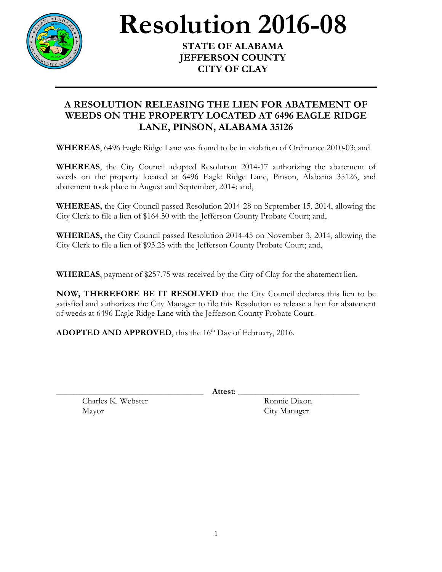

**Resolution 2016-08 STATE OF ALABAMA**

## **JEFFERSON COUNTY CITY OF CLAY**

## **A RESOLUTION RELEASING THE LIEN FOR ABATEMENT OF WEEDS ON THE PROPERTY LOCATED AT 6496 EAGLE RIDGE LANE, PINSON, ALABAMA 35126**

**WHEREAS**, 6496 Eagle Ridge Lane was found to be in violation of Ordinance 2010-03; and

**WHEREAS**, the City Council adopted Resolution 2014-17 authorizing the abatement of weeds on the property located at 6496 Eagle Ridge Lane, Pinson, Alabama 35126, and abatement took place in August and September, 2014; and,

**WHEREAS,** the City Council passed Resolution 2014-28 on September 15, 2014, allowing the City Clerk to file a lien of \$164.50 with the Jefferson County Probate Court; and,

**WHEREAS,** the City Council passed Resolution 2014-45 on November 3, 2014, allowing the City Clerk to file a lien of \$93.25 with the Jefferson County Probate Court; and,

**WHEREAS**, payment of \$257.75 was received by the City of Clay for the abatement lien.

**NOW, THEREFORE BE IT RESOLVED** that the City Council declares this lien to be satisfied and authorizes the City Manager to file this Resolution to release a lien for abatement of weeds at 6496 Eagle Ridge Lane with the Jefferson County Probate Court.

ADOPTED AND APPROVED, this the 16<sup>th</sup> Day of February, 2016.

\_\_\_\_\_\_\_\_\_\_\_\_\_\_\_\_\_\_\_\_\_\_\_\_\_\_\_\_\_\_\_\_\_\_ **Attest**: \_\_\_\_\_\_\_\_\_\_\_\_\_\_\_\_\_\_\_\_\_\_\_\_\_\_\_\_

Charles K. Webster Ronnie Dixon Mayor City Manager